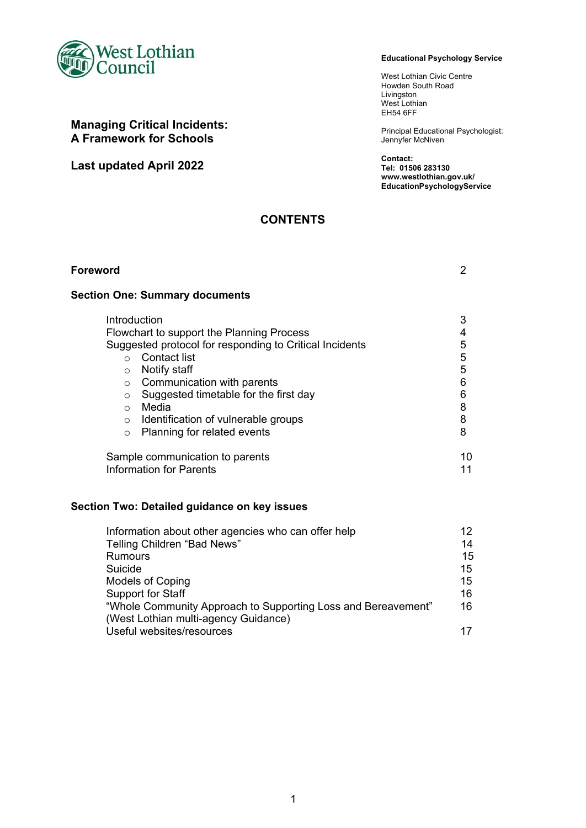

# **Managing Critical Incidents: A Framework for Schools**

**Last updated April 2022**

#### **Educational Psychology Service**

West Lothian Civic Centre Howden South Road Livingston West Lothian EH54 6FF

Principal Educational Psychologist: Jennyfer McNiven

**Contact: Tel: 01506 283130 www.westlothian.gov.uk/ EducationPsychologyService**

# **CONTENTS**

| <b>Foreword</b>                                                                                                                                                                                                                                                                                                                                                                              | 2                                         |
|----------------------------------------------------------------------------------------------------------------------------------------------------------------------------------------------------------------------------------------------------------------------------------------------------------------------------------------------------------------------------------------------|-------------------------------------------|
| <b>Section One: Summary documents</b>                                                                                                                                                                                                                                                                                                                                                        |                                           |
| Introduction<br>Flowchart to support the Planning Process<br>Suggested protocol for responding to Critical Incidents<br>Contact list<br>$\bigcap$<br>Notify staff<br>$\circ$<br>Communication with parents<br>$\circ$<br>Suggested timetable for the first day<br>$\circ$<br>Media<br>$\bigcap$<br>Identification of vulnerable groups<br>$\circ$<br>Planning for related events<br>$\Omega$ | 3<br>5<br>5<br>5<br>6<br>6<br>8<br>8<br>8 |
| Sample communication to parents<br>Information for Parents                                                                                                                                                                                                                                                                                                                                   | 10<br>11                                  |
| Section Two: Detailed guidance on key issues                                                                                                                                                                                                                                                                                                                                                 |                                           |

| Information about other agencies who can offer help           | 12. |
|---------------------------------------------------------------|-----|
| Telling Children "Bad News"                                   | 14  |
| Rumours                                                       | 15  |
| Suicide                                                       | 15  |
| <b>Models of Coping</b>                                       | 15  |
| <b>Support for Staff</b>                                      | 16  |
| "Whole Community Approach to Supporting Loss and Bereavement" | 16  |
| (West Lothian multi-agency Guidance)                          |     |
| Useful websites/resources                                     | 17  |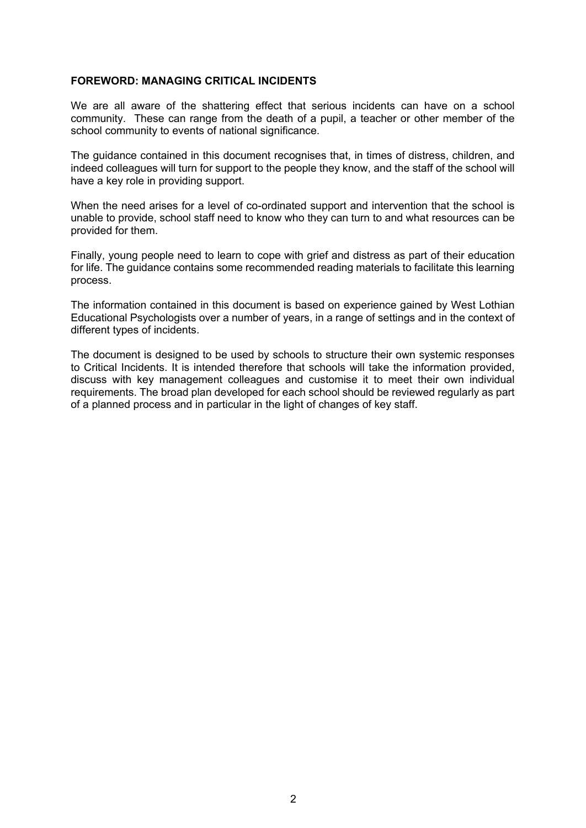## **FOREWORD: MANAGING CRITICAL INCIDENTS**

We are all aware of the shattering effect that serious incidents can have on a school community. These can range from the death of a pupil, a teacher or other member of the school community to events of national significance.

The guidance contained in this document recognises that, in times of distress, children, and indeed colleagues will turn for support to the people they know, and the staff of the school will have a key role in providing support.

When the need arises for a level of co-ordinated support and intervention that the school is unable to provide, school staff need to know who they can turn to and what resources can be provided for them.

Finally, young people need to learn to cope with grief and distress as part of their education for life. The guidance contains some recommended reading materials to facilitate this learning process.

The information contained in this document is based on experience gained by West Lothian Educational Psychologists over a number of years, in a range of settings and in the context of different types of incidents.

The document is designed to be used by schools to structure their own systemic responses to Critical Incidents. It is intended therefore that schools will take the information provided, discuss with key management colleagues and customise it to meet their own individual requirements. The broad plan developed for each school should be reviewed regularly as part of a planned process and in particular in the light of changes of key staff.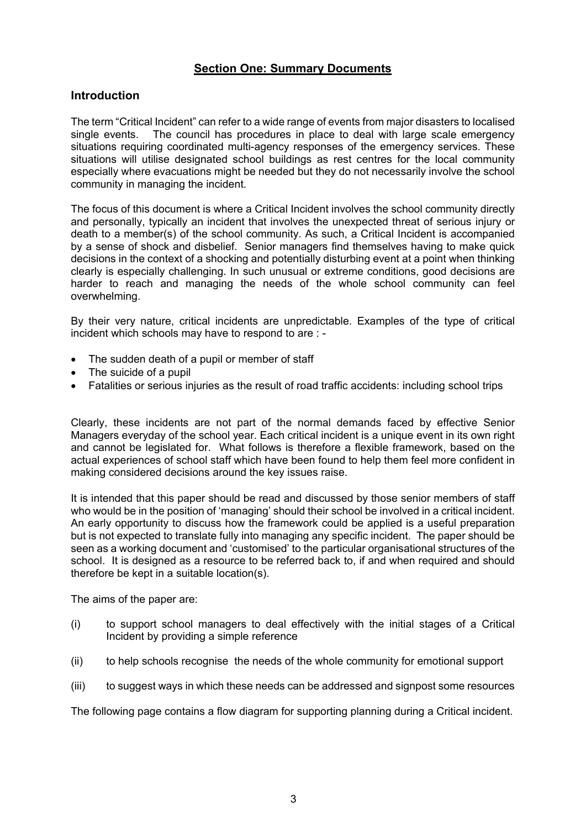# **Section One: Summary Documents**

# **Introduction**

The term "Critical Incident" can refer to a wide range of events from major disasters to localised single events. The council has procedures in place to deal with large scale emergency situations requiring coordinated multi-agency responses of the emergency services. These situations will utilise designated school buildings as rest centres for the local community especially where evacuations might be needed but they do not necessarily involve the school community in managing the incident.

The focus of this document is where a Critical Incident involves the school community directly and personally, typically an incident that involves the unexpected threat of serious injury or death to a member(s) of the school community. As such, a Critical Incident is accompanied by a sense of shock and disbelief. Senior managers find themselves having to make quick decisions in the context of a shocking and potentially disturbing event at a point when thinking clearly is especially challenging. In such unusual or extreme conditions, good decisions are harder to reach and managing the needs of the whole school community can feel overwhelming.

By their very nature, critical incidents are unpredictable. Examples of the type of critical incident which schools may have to respond to are : -

- The sudden death of a pupil or member of staff
- The suicide of a pupil
- Fatalities or serious injuries as the result of road traffic accidents: including school trips

Clearly, these incidents are not part of the normal demands faced by effective Senior Managers everyday of the school year. Each critical incident is a unique event in its own right and cannot be legislated for. What follows is therefore a flexible framework, based on the actual experiences of school staff which have been found to help them feel more confident in making considered decisions around the key issues raise.

It is intended that this paper should be read and discussed by those senior members of staff who would be in the position of 'managing' should their school be involved in a critical incident. An early opportunity to discuss how the framework could be applied is a useful preparation but is not expected to translate fully into managing any specific incident. The paper should be seen as a working document and 'customised' to the particular organisational structures of the school. It is designed as a resource to be referred back to, if and when required and should therefore be kept in a suitable location(s).

The aims of the paper are:

- (i) to support school managers to deal effectively with the initial stages of a Critical Incident by providing a simple reference
- (ii) to help schools recognise the needs of the whole community for emotional support
- (iii) to suggest ways in which these needs can be addressed and signpost some resources

The following page contains a flow diagram for supporting planning during a Critical incident.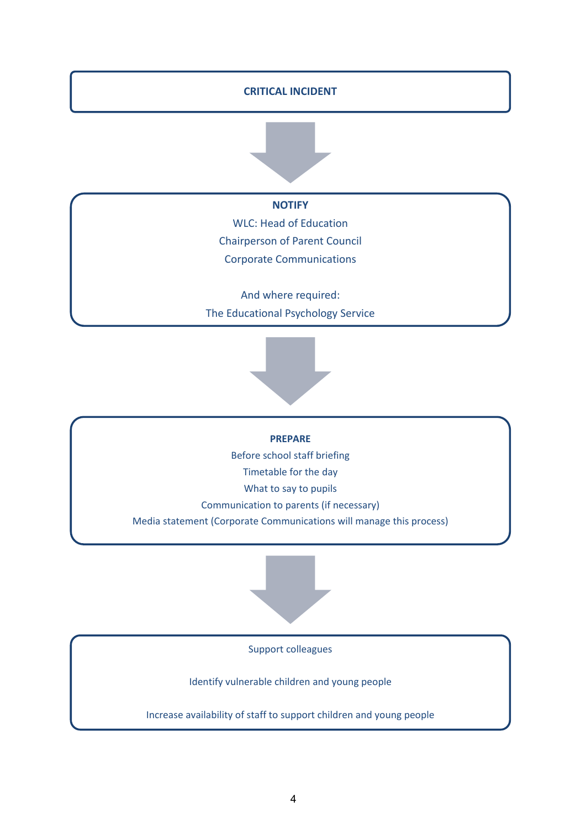## **CRITICAL INCIDENT**



**NOTIFY**

WLC: Head of Education Chairperson of Parent Council Corporate Communications

And where required: The Educational Psychology Service



**PREPARE**

Before school staff briefing

Timetable for the day

What to say to pupils

Communication to parents (if necessary)

Media statement (Corporate Communications will manage this process)



Support colleagues

Identify vulnerable children and young people

Increase availability of staff to support children and young people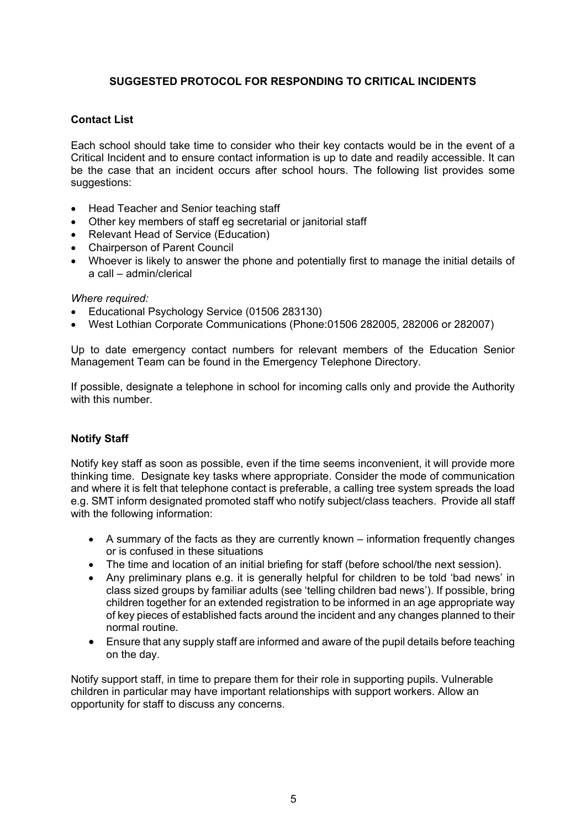# **SUGGESTED PROTOCOL FOR RESPONDING TO CRITICAL INCIDENTS**

# **Contact List**

Each school should take time to consider who their key contacts would be in the event of a Critical Incident and to ensure contact information is up to date and readily accessible. It can be the case that an incident occurs after school hours. The following list provides some suggestions:

- Head Teacher and Senior teaching staff
- Other key members of staff eg secretarial or janitorial staff
- Relevant Head of Service (Education)
- Chairperson of Parent Council
- Whoever is likely to answer the phone and potentially first to manage the initial details of a call – admin/clerical

### *Where required:*

- Educational Psychology Service (01506 283130)
- West Lothian Corporate Communications (Phone:01506 282005, 282006 or 282007)

Up to date emergency contact numbers for relevant members of the Education Senior Management Team can be found in the Emergency Telephone Directory.

If possible, designate a telephone in school for incoming calls only and provide the Authority with this number.

## **Notify Staff**

Notify key staff as soon as possible, even if the time seems inconvenient, it will provide more thinking time. Designate key tasks where appropriate. Consider the mode of communication and where it is felt that telephone contact is preferable, a calling tree system spreads the load e.g. SMT inform designated promoted staff who notify subject/class teachers. Provide all staff with the following information:

- A summary of the facts as they are currently known information frequently changes or is confused in these situations
- The time and location of an initial briefing for staff (before school/the next session).
- Any preliminary plans e.g. it is generally helpful for children to be told 'bad news' in class sized groups by familiar adults (see 'telling children bad news'). If possible, bring children together for an extended registration to be informed in an age appropriate way of key pieces of established facts around the incident and any changes planned to their normal routine.
- Ensure that any supply staff are informed and aware of the pupil details before teaching on the day.

Notify support staff, in time to prepare them for their role in supporting pupils. Vulnerable children in particular may have important relationships with support workers. Allow an opportunity for staff to discuss any concerns.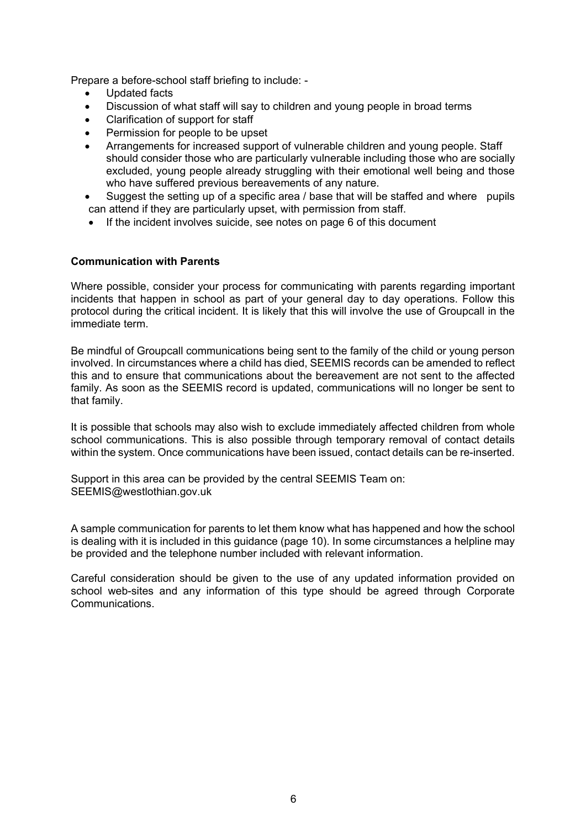Prepare a before-school staff briefing to include: -

- Updated facts
- Discussion of what staff will say to children and young people in broad terms
- Clarification of support for staff
- Permission for people to be upset
- Arrangements for increased support of vulnerable children and young people. Staff should consider those who are particularly vulnerable including those who are socially excluded, young people already struggling with their emotional well being and those who have suffered previous bereavements of any nature.
- Suggest the setting up of a specific area / base that will be staffed and where pupils can attend if they are particularly upset, with permission from staff.
- If the incident involves suicide, see notes on page 6 of this document

## **Communication with Parents**

Where possible, consider your process for communicating with parents regarding important incidents that happen in school as part of your general day to day operations. Follow this protocol during the critical incident. It is likely that this will involve the use of Groupcall in the immediate term.

Be mindful of Groupcall communications being sent to the family of the child or young person involved. In circumstances where a child has died, SEEMIS records can be amended to reflect this and to ensure that communications about the bereavement are not sent to the affected family. As soon as the SEEMIS record is updated, communications will no longer be sent to that family.

It is possible that schools may also wish to exclude immediately affected children from whole school communications. This is also possible through temporary removal of contact details within the system. Once communications have been issued, contact details can be re-inserted.

Support in this area can be provided by the central SEEMIS Team on: SEEMIS@westlothian.gov.uk

A sample communication for parents to let them know what has happened and how the school is dealing with it is included in this guidance (page 10). In some circumstances a helpline may be provided and the telephone number included with relevant information.

Careful consideration should be given to the use of any updated information provided on school web-sites and any information of this type should be agreed through Corporate Communications.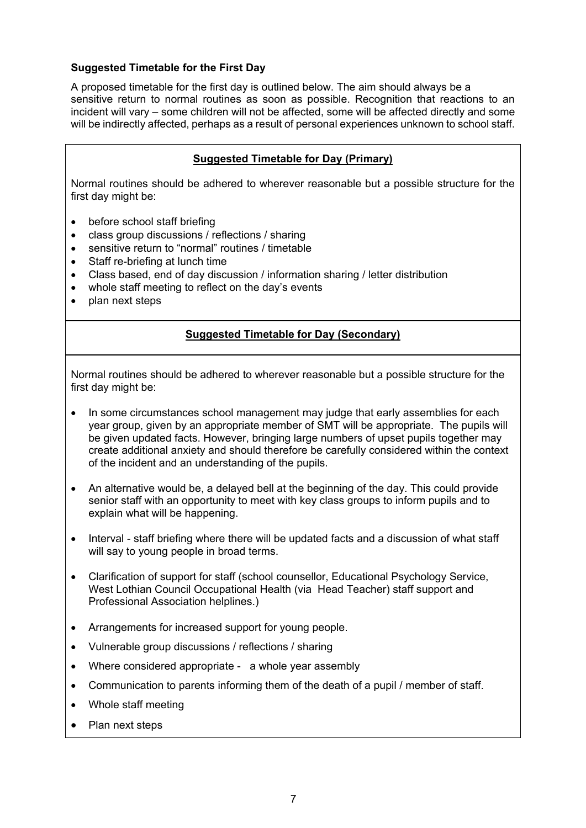# **Suggested Timetable for the First Day**

A proposed timetable for the first day is outlined below. The aim should always be a sensitive return to normal routines as soon as possible. Recognition that reactions to an incident will vary – some children will not be affected, some will be affected directly and some will be indirectly affected, perhaps as a result of personal experiences unknown to school staff.

# **Suggested Timetable for Day (Primary)**

Normal routines should be adhered to wherever reasonable but a possible structure for the first day might be:

- before school staff briefing
- class group discussions / reflections / sharing
- sensitive return to "normal" routines / timetable
- Staff re-briefing at lunch time
- Class based, end of day discussion / information sharing / letter distribution
- whole staff meeting to reflect on the day's events
- plan next steps

# **Suggested Timetable for Day (Secondary)**

Normal routines should be adhered to wherever reasonable but a possible structure for the first day might be:

- In some circumstances school management may judge that early assemblies for each year group, given by an appropriate member of SMT will be appropriate. The pupils will be given updated facts. However, bringing large numbers of upset pupils together may create additional anxiety and should therefore be carefully considered within the context of the incident and an understanding of the pupils.
- An alternative would be, a delayed bell at the beginning of the day. This could provide senior staff with an opportunity to meet with key class groups to inform pupils and to explain what will be happening.
- Interval staff briefing where there will be updated facts and a discussion of what staff will say to young people in broad terms.
- Clarification of support for staff (school counsellor, Educational Psychology Service, West Lothian Council Occupational Health (via Head Teacher) staff support and Professional Association helplines.)
- Arrangements for increased support for young people.
- Vulnerable group discussions / reflections / sharing
- Where considered appropriate a whole year assembly
- Communication to parents informing them of the death of a pupil / member of staff.
- Whole staff meeting
- Plan next steps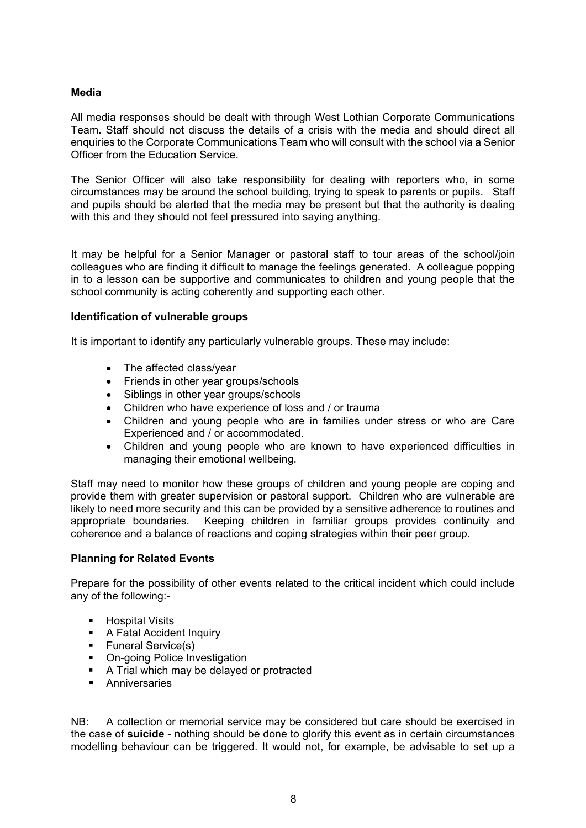## **Media**

All media responses should be dealt with through West Lothian Corporate Communications Team. Staff should not discuss the details of a crisis with the media and should direct all enquiries to the Corporate Communications Team who will consult with the school via a Senior Officer from the Education Service.

The Senior Officer will also take responsibility for dealing with reporters who, in some circumstances may be around the school building, trying to speak to parents or pupils. Staff and pupils should be alerted that the media may be present but that the authority is dealing with this and they should not feel pressured into saying anything.

It may be helpful for a Senior Manager or pastoral staff to tour areas of the school/join colleagues who are finding it difficult to manage the feelings generated. A colleague popping in to a lesson can be supportive and communicates to children and young people that the school community is acting coherently and supporting each other.

## **Identification of vulnerable groups**

It is important to identify any particularly vulnerable groups. These may include:

- The affected class/vear
- Friends in other year groups/schools
- Siblings in other year groups/schools
- Children who have experience of loss and / or trauma
- Children and young people who are in families under stress or who are Care Experienced and / or accommodated.
- Children and young people who are known to have experienced difficulties in managing their emotional wellbeing.

Staff may need to monitor how these groups of children and young people are coping and provide them with greater supervision or pastoral support. Children who are vulnerable are likely to need more security and this can be provided by a sensitive adherence to routines and appropriate boundaries. Keeping children in familiar groups provides continuity and coherence and a balance of reactions and coping strategies within their peer group.

### **Planning for Related Events**

Prepare for the possibility of other events related to the critical incident which could include any of the following:-

- **-** Hospital Visits
- A Fatal Accident Inquiry
- **Funeral Service(s)**
- On-going Police Investigation
- A Trial which may be delayed or protracted
- **Anniversaries**

NB: A collection or memorial service may be considered but care should be exercised in the case of **suicide** - nothing should be done to glorify this event as in certain circumstances modelling behaviour can be triggered. It would not, for example, be advisable to set up a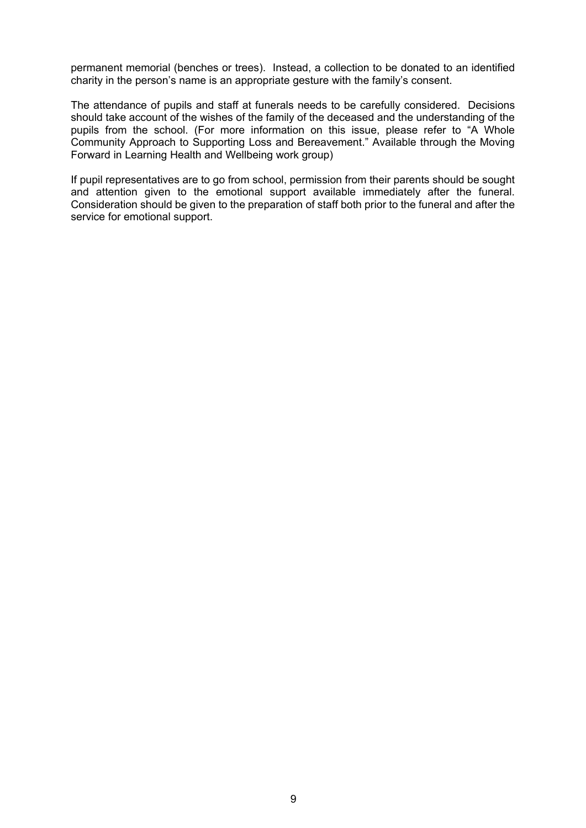permanent memorial (benches or trees). Instead, a collection to be donated to an identified charity in the person's name is an appropriate gesture with the family's consent.

The attendance of pupils and staff at funerals needs to be carefully considered. Decisions should take account of the wishes of the family of the deceased and the understanding of the pupils from the school. (For more information on this issue, please refer to "A Whole Community Approach to Supporting Loss and Bereavement." Available through the Moving Forward in Learning Health and Wellbeing work group)

If pupil representatives are to go from school, permission from their parents should be sought and attention given to the emotional support available immediately after the funeral. Consideration should be given to the preparation of staff both prior to the funeral and after the service for emotional support.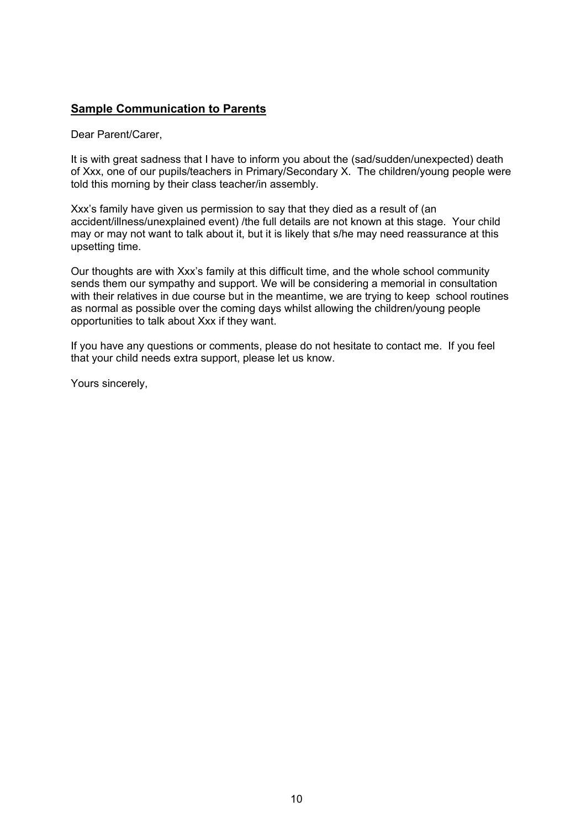# **Sample Communication to Parents**

Dear Parent/Carer,

It is with great sadness that I have to inform you about the (sad/sudden/unexpected) death of Xxx, one of our pupils/teachers in Primary/Secondary X. The children/young people were told this morning by their class teacher/in assembly.

Xxx's family have given us permission to say that they died as a result of (an accident/illness/unexplained event) /the full details are not known at this stage. Your child may or may not want to talk about it, but it is likely that s/he may need reassurance at this upsetting time.

Our thoughts are with Xxx's family at this difficult time, and the whole school community sends them our sympathy and support. We will be considering a memorial in consultation with their relatives in due course but in the meantime, we are trying to keep school routines as normal as possible over the coming days whilst allowing the children/young people opportunities to talk about Xxx if they want.

If you have any questions or comments, please do not hesitate to contact me. If you feel that your child needs extra support, please let us know.

Yours sincerely,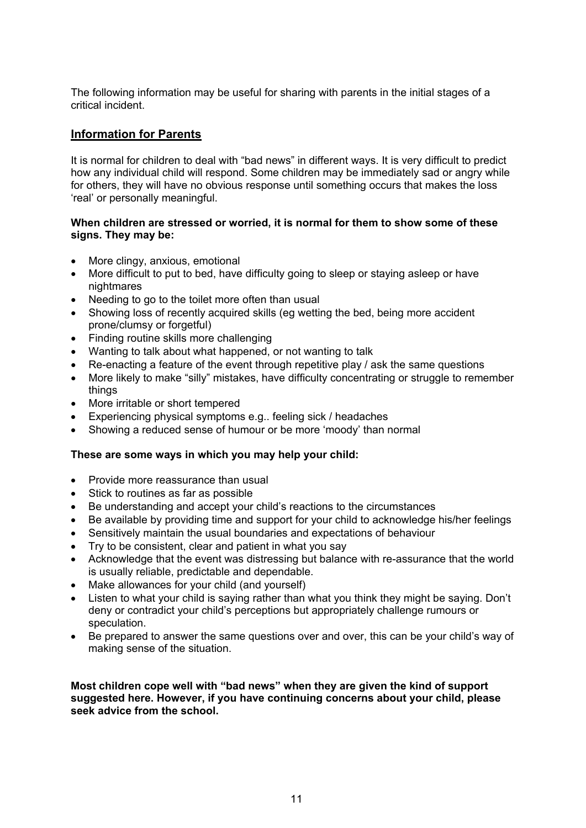The following information may be useful for sharing with parents in the initial stages of a critical incident.

# **Information for Parents**

It is normal for children to deal with "bad news" in different ways. It is very difficult to predict how any individual child will respond. Some children may be immediately sad or angry while for others, they will have no obvious response until something occurs that makes the loss 'real' or personally meaningful.

## **When children are stressed or worried, it is normal for them to show some of these signs. They may be:**

- More clingy, anxious, emotional
- More difficult to put to bed, have difficulty going to sleep or staying asleep or have nightmares
- Needing to go to the toilet more often than usual
- Showing loss of recently acquired skills (eg wetting the bed, being more accident prone/clumsy or forgetful)
- Finding routine skills more challenging
- Wanting to talk about what happened, or not wanting to talk
- Re-enacting a feature of the event through repetitive play / ask the same questions
- More likely to make "silly" mistakes, have difficulty concentrating or struggle to remember things
- More irritable or short tempered
- Experiencing physical symptoms e.g.. feeling sick / headaches
- Showing a reduced sense of humour or be more 'moody' than normal

### **These are some ways in which you may help your child:**

- Provide more reassurance than usual
- Stick to routines as far as possible
- Be understanding and accept your child's reactions to the circumstances
- Be available by providing time and support for your child to acknowledge his/her feelings
- Sensitively maintain the usual boundaries and expectations of behaviour
- Try to be consistent, clear and patient in what you say
- Acknowledge that the event was distressing but balance with re-assurance that the world is usually reliable, predictable and dependable.
- Make allowances for your child (and yourself)
- Listen to what your child is saying rather than what you think they might be saying. Don't deny or contradict your child's perceptions but appropriately challenge rumours or speculation.
- Be prepared to answer the same questions over and over, this can be your child's way of making sense of the situation.

**Most children cope well with "bad news" when they are given the kind of support suggested here. However, if you have continuing concerns about your child, please seek advice from the school.**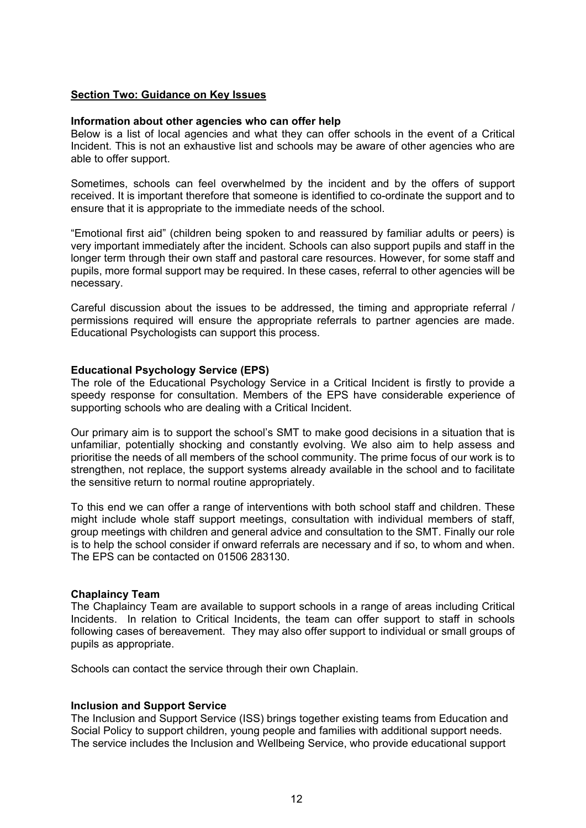## **Section Two: Guidance on Key Issues**

### **Information about other agencies who can offer help**

Below is a list of local agencies and what they can offer schools in the event of a Critical Incident. This is not an exhaustive list and schools may be aware of other agencies who are able to offer support.

Sometimes, schools can feel overwhelmed by the incident and by the offers of support received. It is important therefore that someone is identified to co-ordinate the support and to ensure that it is appropriate to the immediate needs of the school.

"Emotional first aid" (children being spoken to and reassured by familiar adults or peers) is very important immediately after the incident. Schools can also support pupils and staff in the longer term through their own staff and pastoral care resources. However, for some staff and pupils, more formal support may be required. In these cases, referral to other agencies will be necessary.

Careful discussion about the issues to be addressed, the timing and appropriate referral / permissions required will ensure the appropriate referrals to partner agencies are made. Educational Psychologists can support this process.

## **Educational Psychology Service (EPS)**

The role of the Educational Psychology Service in a Critical Incident is firstly to provide a speedy response for consultation. Members of the EPS have considerable experience of supporting schools who are dealing with a Critical Incident.

Our primary aim is to support the school's SMT to make good decisions in a situation that is unfamiliar, potentially shocking and constantly evolving. We also aim to help assess and prioritise the needs of all members of the school community. The prime focus of our work is to strengthen, not replace, the support systems already available in the school and to facilitate the sensitive return to normal routine appropriately.

To this end we can offer a range of interventions with both school staff and children. These might include whole staff support meetings, consultation with individual members of staff, group meetings with children and general advice and consultation to the SMT. Finally our role is to help the school consider if onward referrals are necessary and if so, to whom and when. The EPS can be contacted on 01506 283130.

### **Chaplaincy Team**

The Chaplaincy Team are available to support schools in a range of areas including Critical Incidents. In relation to Critical Incidents, the team can offer support to staff in schools following cases of bereavement. They may also offer support to individual or small groups of pupils as appropriate.

Schools can contact the service through their own Chaplain.

### **Inclusion and Support Service**

The Inclusion and Support Service (ISS) brings together existing teams from Education and Social Policy to support children, young people and families with additional support needs. The service includes the Inclusion and Wellbeing Service, who provide educational support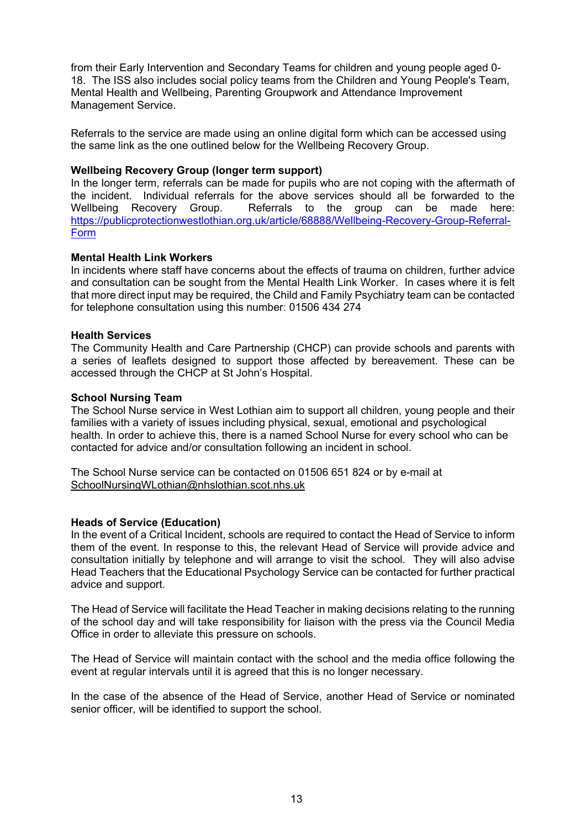from their Early Intervention and Secondary Teams for children and young people aged 0- 18. The ISS also includes social policy teams from the Children and Young People's Team, Mental Health and Wellbeing, Parenting Groupwork and Attendance Improvement Management Service.

Referrals to the service are made using an online digital form which can be accessed using the same link as the one outlined below for the Wellbeing Recovery Group.

## **Wellbeing Recovery Group (longer term support)**

In the longer term, referrals can be made for pupils who are not coping with the aftermath of the incident. Individual referrals for the above services should all be forwarded to the Wellbeing Recovery Group. Referrals to the group can be made here: [https://publicprotectionwestlothian.org.uk/article/68888/Wellbeing-Recovery-Group-Referral-](https://publicprotectionwestlothian.org.uk/article/68888/Wellbeing-Recovery-Group-Referral-Form)[Form](https://publicprotectionwestlothian.org.uk/article/68888/Wellbeing-Recovery-Group-Referral-Form)

## **Mental Health Link Workers**

In incidents where staff have concerns about the effects of trauma on children, further advice and consultation can be sought from the Mental Health Link Worker. In cases where it is felt that more direct input may be required, the Child and Family Psychiatry team can be contacted for telephone consultation using this number: 01506 434 274

## **Health Services**

The Community Health and Care Partnership (CHCP) can provide schools and parents with a series of leaflets designed to support those affected by bereavement. These can be accessed through the CHCP at St John's Hospital.

### **School Nursing Team**

The School Nurse service in West Lothian aim to support all children, young people and their families with a variety of issues including physical, sexual, emotional and psychological health. In order to achieve this, there is a named School Nurse for every school who can be contacted for advice and/or consultation following an incident in school.

The School Nurse service can be contacted on 01506 651 824 or by e-mail at [SchoolNursingWLothian@nhslothian.scot.nhs.uk](mailto:SchoolNursingWLothian@nhslothian.scot.nhs.uk)

### **Heads of Service (Education)**

In the event of a Critical Incident, schools are required to contact the Head of Service to inform them of the event. In response to this, the relevant Head of Service will provide advice and consultation initially by telephone and will arrange to visit the school. They will also advise Head Teachers that the Educational Psychology Service can be contacted for further practical advice and support.

The Head of Service will facilitate the Head Teacher in making decisions relating to the running of the school day and will take responsibility for liaison with the press via the Council Media Office in order to alleviate this pressure on schools.

The Head of Service will maintain contact with the school and the media office following the event at regular intervals until it is agreed that this is no longer necessary.

In the case of the absence of the Head of Service, another Head of Service or nominated senior officer, will be identified to support the school.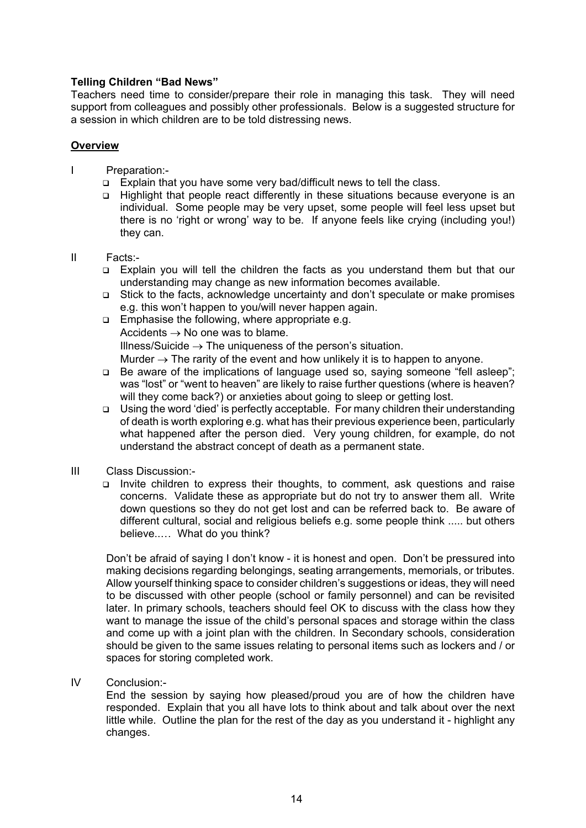## **Telling Children "Bad News"**

Teachers need time to consider/prepare their role in managing this task. They will need support from colleagues and possibly other professionals. Below is a suggested structure for a session in which children are to be told distressing news.

## **Overview**

- I Preparation:-
	- Explain that you have some very bad/difficult news to tell the class.
	- Highlight that people react differently in these situations because everyone is an individual. Some people may be very upset, some people will feel less upset but there is no 'right or wrong' way to be. If anyone feels like crying (including you!) they can.
- II Facts:-
	- Explain you will tell the children the facts as you understand them but that our understanding may change as new information becomes available.
	- Stick to the facts, acknowledge uncertainty and don't speculate or make promises e.g. this won't happen to you/will never happen again.
	- **Emphasise the following, where appropriate e.g.** Accidents  $\rightarrow$  No one was to blame. Illness/Suicide  $\rightarrow$  The uniqueness of the person's situation. Murder  $\rightarrow$  The rarity of the event and how unlikely it is to happen to anyone.
	- Be aware of the implications of language used so, saying someone "fell asleep"; was "lost" or "went to heaven" are likely to raise further questions (where is heaven? will they come back?) or anxieties about going to sleep or getting lost.
	- $\Box$  Using the word 'died' is perfectly acceptable. For many children their understanding of death is worth exploring e.g. what has their previous experience been, particularly what happened after the person died. Very young children, for example, do not understand the abstract concept of death as a permanent state.
- III Class Discussion:-
	- Invite children to express their thoughts, to comment, ask questions and raise concerns. Validate these as appropriate but do not try to answer them all. Write down questions so they do not get lost and can be referred back to. Be aware of different cultural, social and religious beliefs e.g. some people think ..... but others believe..… What do you think?

Don't be afraid of saying I don't know - it is honest and open. Don't be pressured into making decisions regarding belongings, seating arrangements, memorials, or tributes. Allow yourself thinking space to consider children's suggestions or ideas, they will need to be discussed with other people (school or family personnel) and can be revisited later. In primary schools, teachers should feel OK to discuss with the class how they want to manage the issue of the child's personal spaces and storage within the class and come up with a joint plan with the children. In Secondary schools, consideration should be given to the same issues relating to personal items such as lockers and / or spaces for storing completed work.

IV Conclusion:-

End the session by saying how pleased/proud you are of how the children have responded. Explain that you all have lots to think about and talk about over the next little while. Outline the plan for the rest of the day as you understand it - highlight any changes.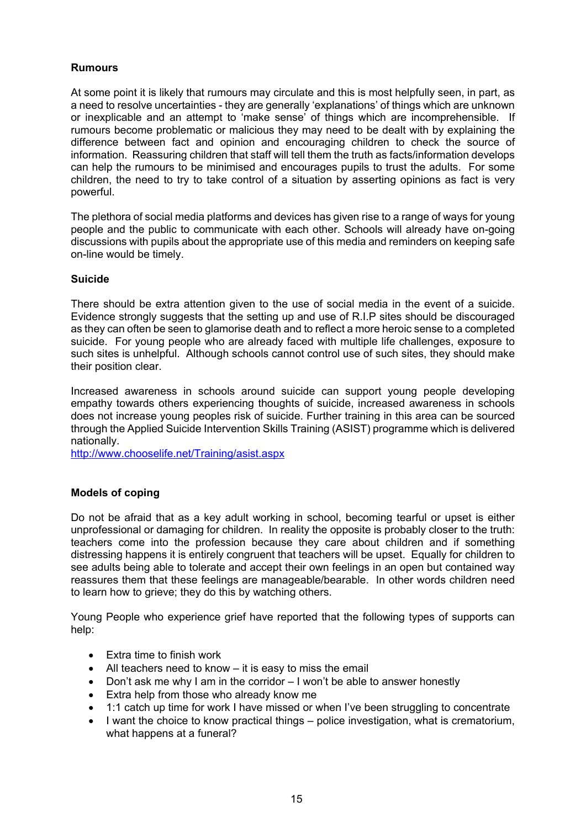# **Rumours**

At some point it is likely that rumours may circulate and this is most helpfully seen, in part, as a need to resolve uncertainties - they are generally 'explanations' of things which are unknown or inexplicable and an attempt to 'make sense' of things which are incomprehensible. If rumours become problematic or malicious they may need to be dealt with by explaining the difference between fact and opinion and encouraging children to check the source of information. Reassuring children that staff will tell them the truth as facts/information develops can help the rumours to be minimised and encourages pupils to trust the adults. For some children, the need to try to take control of a situation by asserting opinions as fact is very powerful.

The plethora of social media platforms and devices has given rise to a range of ways for young people and the public to communicate with each other. Schools will already have on-going discussions with pupils about the appropriate use of this media and reminders on keeping safe on-line would be timely.

## **Suicide**

There should be extra attention given to the use of social media in the event of a suicide. Evidence strongly suggests that the setting up and use of R.I.P sites should be discouraged as they can often be seen to glamorise death and to reflect a more heroic sense to a completed suicide. For young people who are already faced with multiple life challenges, exposure to such sites is unhelpful. Although schools cannot control use of such sites, they should make their position clear.

Increased awareness in schools around suicide can support young people developing empathy towards others experiencing thoughts of suicide, increased awareness in schools does not increase young peoples risk of suicide. Further training in this area can be sourced through the Applied Suicide Intervention Skills Training (ASIST) programme which is delivered nationally.

<http://www.chooselife.net/Training/asist.aspx>

## **Models of coping**

Do not be afraid that as a key adult working in school, becoming tearful or upset is either unprofessional or damaging for children. In reality the opposite is probably closer to the truth: teachers come into the profession because they care about children and if something distressing happens it is entirely congruent that teachers will be upset. Equally for children to see adults being able to tolerate and accept their own feelings in an open but contained way reassures them that these feelings are manageable/bearable. In other words children need to learn how to grieve; they do this by watching others.

Young People who experience grief have reported that the following types of supports can help:

- Extra time to finish work
- All teachers need to know it is easy to miss the email
- Don't ask me why I am in the corridor I won't be able to answer honestly
- Extra help from those who already know me
- 1:1 catch up time for work I have missed or when I've been struggling to concentrate
- I want the choice to know practical things police investigation, what is crematorium, what happens at a funeral?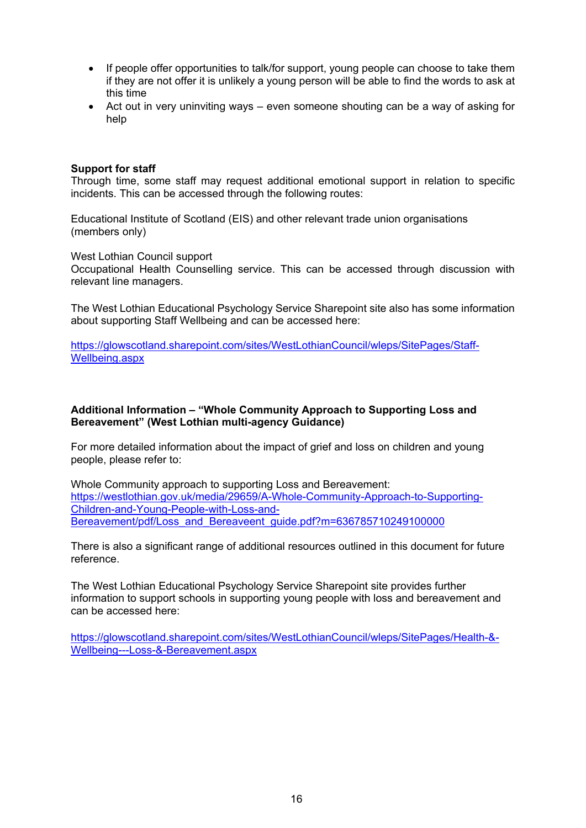- If people offer opportunities to talk/for support, young people can choose to take them if they are not offer it is unlikely a young person will be able to find the words to ask at this time
- Act out in very uninviting ways even someone shouting can be a way of asking for help

## **Support for staff**

Through time, some staff may request additional emotional support in relation to specific incidents. This can be accessed through the following routes:

Educational Institute of Scotland (EIS) and other relevant trade union organisations (members only)

West Lothian Council support

Occupational Health Counselling service. This can be accessed through discussion with relevant line managers.

The West Lothian Educational Psychology Service Sharepoint site also has some information about supporting Staff Wellbeing and can be accessed here:

[https://glowscotland.sharepoint.com/sites/WestLothianCouncil/wleps/SitePages/Staff-](https://glowscotland.sharepoint.com/sites/WestLothianCouncil/wleps/SitePages/Staff-Wellbeing.aspx)[Wellbeing.aspx](https://glowscotland.sharepoint.com/sites/WestLothianCouncil/wleps/SitePages/Staff-Wellbeing.aspx)

## **Additional Information – "Whole Community Approach to Supporting Loss and Bereavement" (West Lothian multi-agency Guidance)**

For more detailed information about the impact of grief and loss on children and young people, please refer to:

Whole Community approach to supporting Loss and Bereavement: [https://westlothian.gov.uk/media/29659/A-Whole-Community-Approach-to-Supporting-](https://westlothian.gov.uk/media/29659/A-Whole-Community-Approach-to-Supporting-Children-and-Young-People-with-Loss-and-Bereavement/pdf/Loss_and_Bereaveent_guide.pdf?m=636785710249100000)[Children-and-Young-People-with-Loss-and-](https://westlothian.gov.uk/media/29659/A-Whole-Community-Approach-to-Supporting-Children-and-Young-People-with-Loss-and-Bereavement/pdf/Loss_and_Bereaveent_guide.pdf?m=636785710249100000)[Bereavement/pdf/Loss\\_and\\_Bereaveent\\_guide.pdf?m=636785710249100000](https://westlothian.gov.uk/media/29659/A-Whole-Community-Approach-to-Supporting-Children-and-Young-People-with-Loss-and-Bereavement/pdf/Loss_and_Bereaveent_guide.pdf?m=636785710249100000)

There is also a significant range of additional resources outlined in this document for future reference.

The West Lothian Educational Psychology Service Sharepoint site provides further information to support schools in supporting young people with loss and bereavement and can be accessed here:

[https://glowscotland.sharepoint.com/sites/WestLothianCouncil/wleps/SitePages/Health-&-](https://glowscotland.sharepoint.com/sites/WestLothianCouncil/wleps/SitePages/Health-&-Wellbeing---Loss-&-Bereavement.aspx) [Wellbeing---Loss-&-Bereavement.aspx](https://glowscotland.sharepoint.com/sites/WestLothianCouncil/wleps/SitePages/Health-&-Wellbeing---Loss-&-Bereavement.aspx)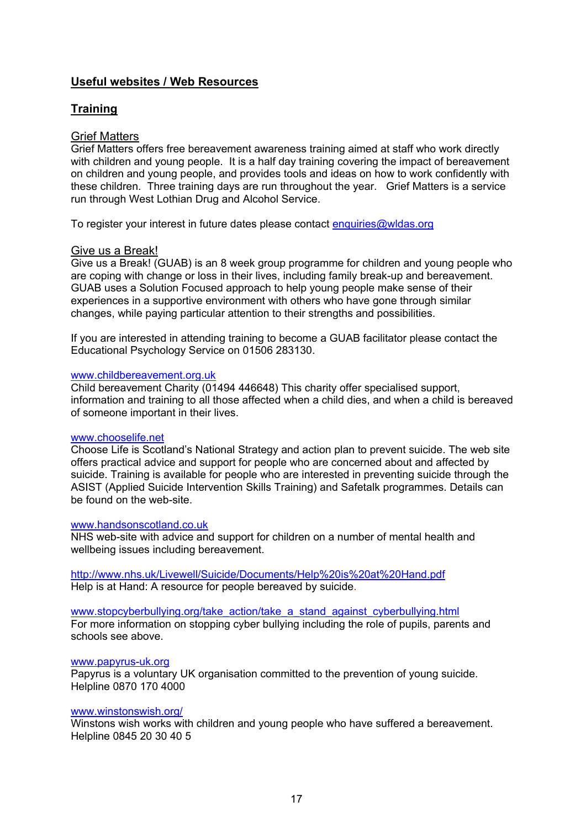# **Useful websites / Web Resources**

# **Training**

# Grief Matters

Grief Matters offers free bereavement awareness training aimed at staff who work directly with children and young people. It is a half day training covering the impact of bereavement on children and young people, and provides tools and ideas on how to work confidently with these children. Three training days are run throughout the year. Grief Matters is a service run through West Lothian Drug and Alcohol Service.

To register your interest in future dates please contact [enquiries@wldas.org](mailto:enquiries@wldas.org)

## Give us a Break!

Give us a Break! (GUAB) is an 8 week group programme for children and young people who are coping with change or loss in their lives, including family break-up and bereavement. GUAB uses a Solution Focused approach to help young people make sense of their experiences in a supportive environment with others who have gone through similar changes, while paying particular attention to their strengths and possibilities.

If you are interested in attending training to become a GUAB facilitator please contact the Educational Psychology Service on 01506 283130.

### [www.childbereavement.org.uk](http://www.childbereavement.org.uk/)

Child bereavement Charity (01494 446648) This charity offer specialised support, information and training to all those affected when a child dies, and when a child is bereaved of someone important in their lives.

### [www.chooselife.net](http://www.chooselife.net/)

Choose Life is Scotland's National Strategy and action plan to prevent suicide. The web site offers practical advice and support for people who are concerned about and affected by suicide. Training is available for people who are interested in preventing suicide through the ASIST (Applied Suicide Intervention Skills Training) and Safetalk programmes. Details can be found on the web-site.

## [www.handsonscotland.co.uk](http://www.handsonscotland.co.uk/)

NHS web-site with advice and support for children on a number of mental health and wellbeing issues including bereavement.

<http://www.nhs.uk/Livewell/Suicide/Documents/Help%20is%20at%20Hand.pdf> Help is at Hand: A resource for people bereaved by suicide.

[www.stopcyberbullying.org/take\\_action/take\\_a\\_stand\\_against\\_cyberbullying.html](http://www.stopcyberbullying.org/take_action/take_a_stand_against_cyberbullying.html) For more information on stopping cyber bullying including the role of pupils, parents and schools see above.

### [www.papyrus-uk.org](http://www.papyrus-uk.org/)

Papyrus is a voluntary UK organisation committed to the prevention of young suicide. Helpline 0870 170 4000

### [www.winstonswish.org/](http://www.winstonswish.org/)

Winstons wish works with children and young people who have suffered a bereavement. Helpline 0845 20 30 40 5